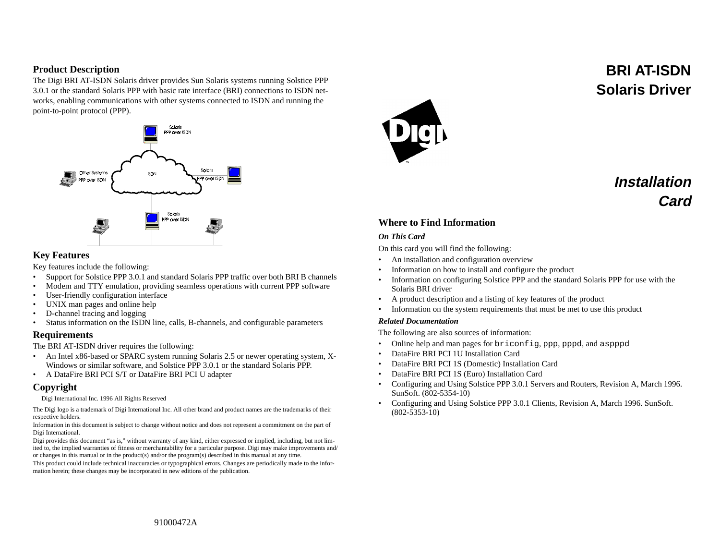## **Product Description**

The Digi BRI AT-ISDN Solaris driver provides Sun Solaris systems running Solstice PPP 3.0.1 or the standard Solaris PPP with basic rate interface (BRI) connections to ISDN networks, enabling communications with other systems connected to ISDN and running the point-to-point protocol (PPP).



### **Key Features**

Key features include the following:

- •Support for Solstice PPP 3.0.1 and standard Solaris PPP traffic over both BRI B channels
- •Modem and TTY emulation, providing seamless operations with current PPP software
- •User-friendly configuration interface
- •UNIX man pages and online help
- •D-channel tracing and logging
- •Status information on the ISDN line, calls, B-channels, and configurable parameters

#### **Requirements**

The BRI AT-ISDN driver requires the following:

- • An Intel x86-based or SPARC system running Solaris 2.5 or newer operating system, X-Windows or similar software, and Solstice PPP 3.0.1 or the standard Solaris PPP.
- •A DataFire BRI PCI S/T or DataFire BRI PCI U adapter

## **Copyright**

Digi International Inc. 1996 All Rights Reserved

The Digi logo is a trademark of Digi International Inc. All other brand and product names are the trademarks of their respective holders.

Information in this document is subject to change without notice and does not represent a commitment on the part of Digi International.

Digi provides this document "as is," without warranty of any kind, either expressed or implied, including, but not limited to, the implied warranties of fitness or merchantability for a particular purpose. Digi may make improvements and/ or changes in this manual or in the product(s) and/or the program(s) described in this manual at any time.

This product could include technical inaccuracies or typographical errors. Changes are periodically made to the information herein; these changes may be incorporated in new editions of the publication.



# **BRI AT-ISDN Solaris Driver**

# **InstallationCard**

# **Where to Find Information**

#### *On This Card*

On this card you will find the following:

- •An installation and configuration overview
- •Information on how to install and configure the product
- • Information on configuring Solstice PPP and the standard Solaris PPP for use with the Solaris BRI driver
- •A product description and a listing of key features of the product
- •Information on the system requirements that must be met to use this product

#### *Related Documentation*

The following are also sources of information:

- •Online help and man pages for briconfig, ppp, pppd, and aspppd
- •DataFire BRI PCI 1U Installation Card
- •DataFire BRI PCI 1S (Domestic) Installation Card
- •DataFire BRI PCI 1S (Euro) Installation Card
- • Configuring and Using Solstice PPP 3.0.1 Servers and Routers, Revision A, March 1996. SunSoft. (802-5354-10)
- Configuring and Using Solstice PPP 3.0.1 Clients, Revision A, March 1996. SunSoft. (802-5353-10)